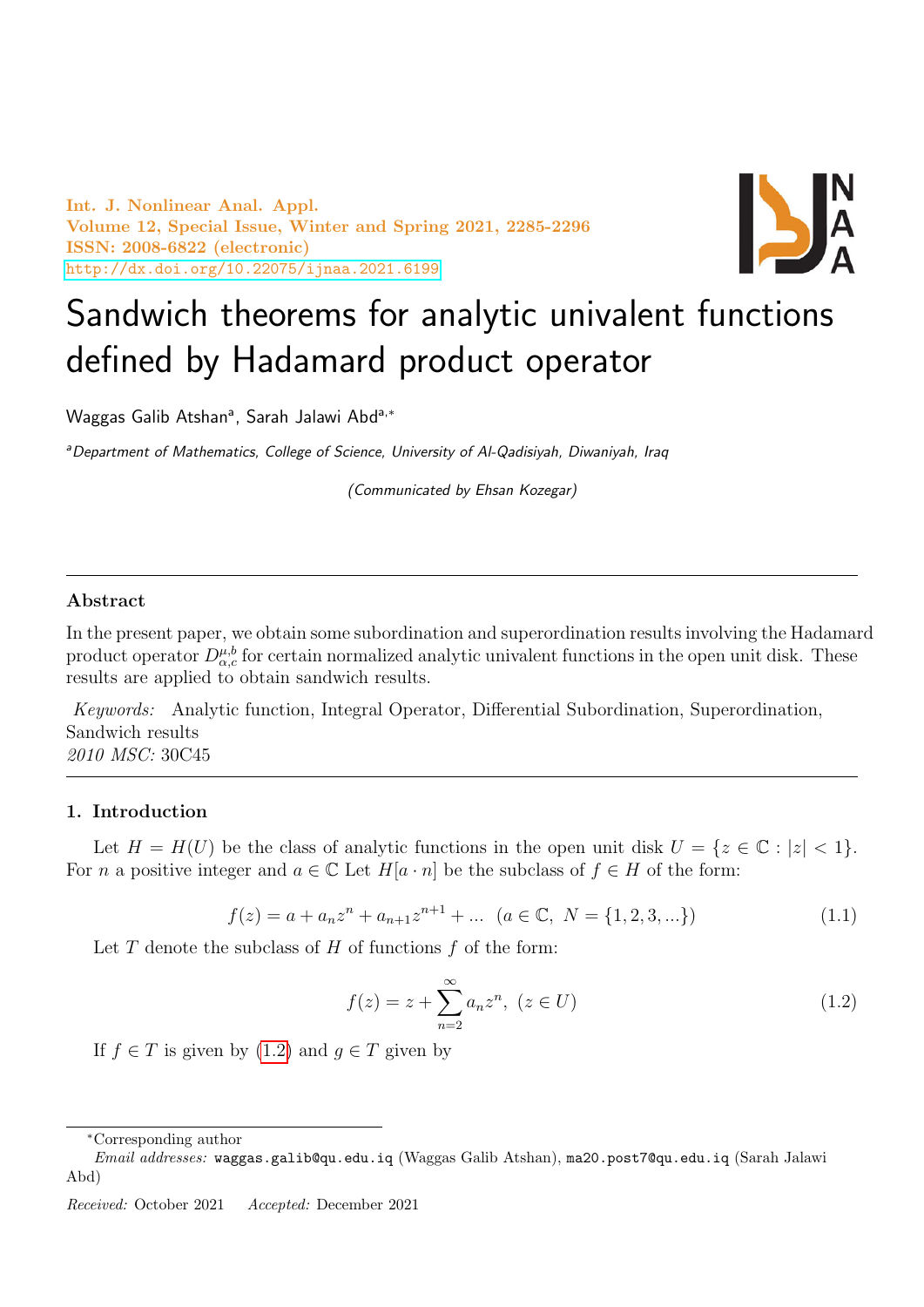Int. J. Nonlinear Anal. Appl. Volume 12, Special Issue, Winter and Spring 2021, 2285-2296 ISSN: 2008-6822 (electronic) <http://dx.doi.org/10.22075/ijnaa.2021.6199>



# Sandwich theorems for analytic univalent functions defined by Hadamard product operator

Waggas Galib Atshan<sup>a</sup>, Sarah Jalawi Abd<sup>a,∗</sup>

aDepartment of Mathematics, College of Science, University of Al-Qadisiyah, Diwaniyah, Iraq

(Communicated by Ehsan Kozegar)

# Abstract

In the present paper, we obtain some subordination and superordination results involving the Hadamard product operator  $D_{\alpha,c}^{\mu,b}$  for certain normalized analytic univalent functions in the open unit disk. These results are applied to obtain sandwich results.

Keywords: Analytic function, Integral Operator, Differential Subordination, Superordination, Sandwich results 2010 MSC: 30C45

#### 1. Introduction

Let  $H = H(U)$  be the class of analytic functions in the open unit disk  $U = \{z \in \mathbb{C} : |z| < 1\}.$ For n a positive integer and  $a \in \mathbb{C}$  Let  $H[a \cdot n]$  be the subclass of  $f \in H$  of the form:

$$
f(z) = a + a_n z^n + a_{n+1} z^{n+1} + \dots \ (a \in \mathbb{C}, \ N = \{1, 2, 3, \dots\})
$$
 (1.1)

Let  $T$  denote the subclass of  $H$  of functions  $f$  of the form:

<span id="page-0-0"></span>
$$
f(z) = z + \sum_{n=2}^{\infty} a_n z^n, \ (z \in U)
$$
 (1.2)

If  $f \in T$  is given by  $(1.2)$  and  $q \in T$  given by

<sup>∗</sup>Corresponding author

Email addresses: waggas.galib@qu.edu.iq (Waggas Galib Atshan), ma20.post7@qu.edu.iq (Sarah Jalawi Abd)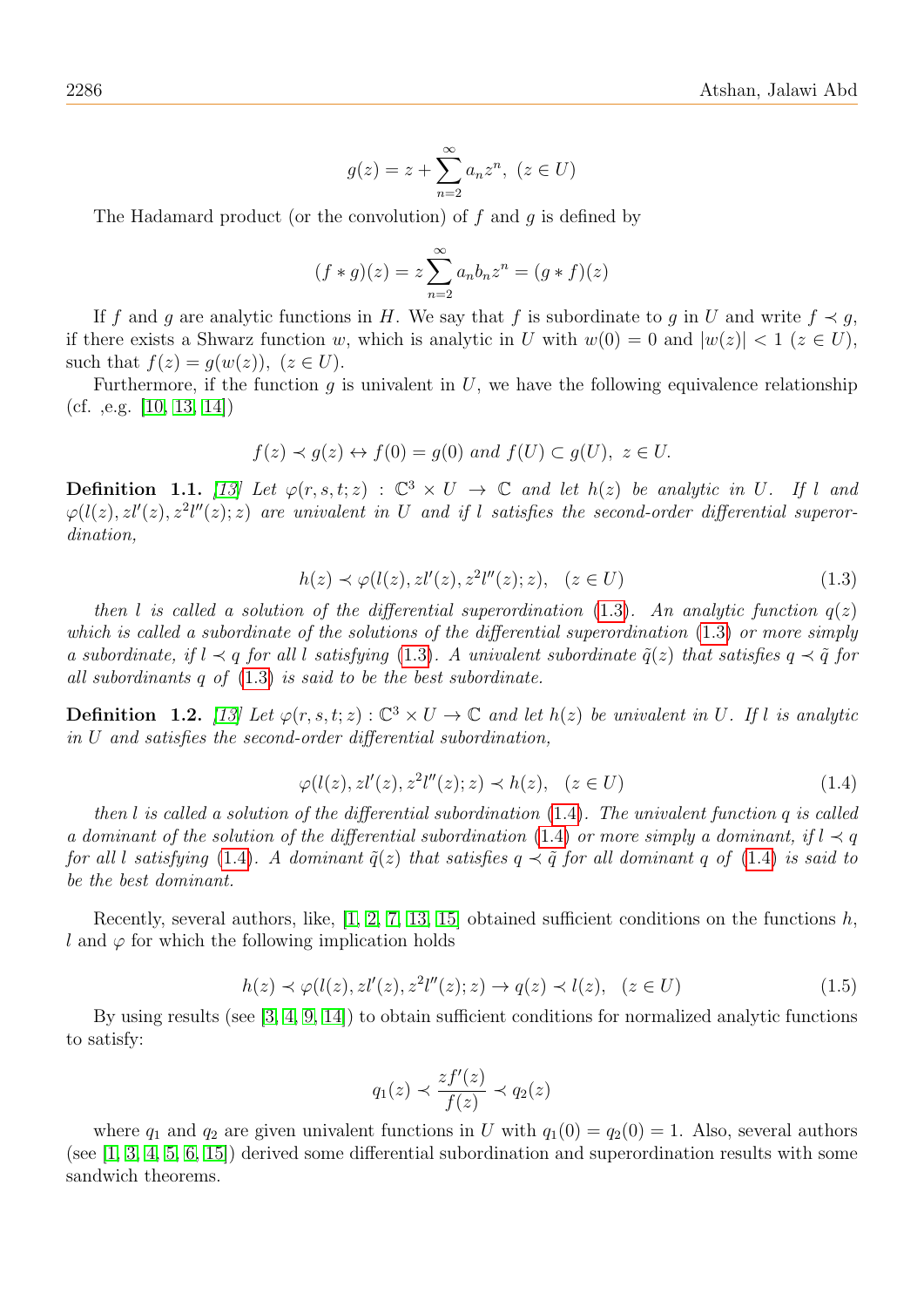$$
g(z) = z + \sum_{n=2}^{\infty} a_n z^n, (z \in U)
$$

The Hadamard product (or the convolution) of  $f$  and  $g$  is defined by

$$
(f * g)(z) = z \sum_{n=2}^{\infty} a_n b_n z^n = (g * f)(z)
$$

If f and g are analytic functions in H. We say that f is subordinate to g in U and write  $f \prec g$ , if there exists a Shwarz function w, which is analytic in U with  $w(0) = 0$  and  $|w(z)| < 1$  ( $z \in U$ ), such that  $f(z) = g(w(z))$ ,  $(z \in U)$ .

Furthermore, if the function  $g$  is univalent in  $U$ , we have the following equivalence relationship (cf. ,e.g.  $|10, 13, 14|$  $|10, 13, 14|$  $|10, 13, 14|$ )

$$
f(z) \prec g(z) \leftrightarrow f(0) = g(0)
$$
 and  $f(U) \subset g(U)$ ,  $z \in U$ .

**Definition 1.1.** [\[13\]](#page-10-1) Let  $\varphi(r, s, t; z) : \mathbb{C}^3 \times U \to \mathbb{C}$  and let  $h(z)$  be analytic in U. If l and  $\varphi(l(z), z l'(z), z^2 l''(z); z)$  are univalent in U and if l satisfies the second-order differential superordination,

<span id="page-1-0"></span>
$$
h(z) \prec \varphi(l(z), z l'(z), z^2 l''(z); z), \quad (z \in U)
$$
\n
$$
(1.3)
$$

then l is called a solution of the differential superordination [\(1.3\)](#page-1-0). An analytic function  $q(z)$ which is called a subordinate of the solutions of the differential superordination [\(1.3\)](#page-1-0) or more simply a subordinate, if  $l \prec q$  for all l satisfying [\(1.3\)](#page-1-0). A univalent subordinate  $\tilde{q}(z)$  that satisfies  $q \prec \tilde{q}$  for all subordinants q of [\(1.3\)](#page-1-0) is said to be the best subordinate.

**Definition** 1.2. [\[13\]](#page-10-1) Let  $\varphi(r, s, t; z) : \mathbb{C}^3 \times U \to \mathbb{C}$  and let  $h(z)$  be univalent in U. If l is analytic in U and satisfies the second-order differential subordination,

<span id="page-1-1"></span>
$$
\varphi(l(z), z l'(z), z^2 l''(z); z) \prec h(z), \quad (z \in U)
$$
\n(1.4)

then l is called a solution of the differential subordination  $(1.4)$ . The univalent function q is called a dominant of the solution of the differential subordination [\(1.4\)](#page-1-1) or more simply a dominant, if  $l \prec q$ for all l satisfying [\(1.4\)](#page-1-1). A dominant  $\tilde{q}(z)$  that satisfies  $q \prec \tilde{q}$  for all dominant q of (1.4) is said to be the best dominant.

Recently, several authors, like,  $[1, 2, 7, 13, 15]$  $[1, 2, 7, 13, 15]$  $[1, 2, 7, 13, 15]$  $[1, 2, 7, 13, 15]$  $[1, 2, 7, 13, 15]$  obtained sufficient conditions on the functions  $h$ , l and  $\varphi$  for which the following implication holds

$$
h(z) \prec \varphi(l(z), z l'(z), z^2 l''(z); z) \rightarrow q(z) \prec l(z), \quad (z \in U)
$$
\n
$$
(1.5)
$$

By using results (see [\[3,](#page-10-5) [4,](#page-10-6) [9,](#page-10-7) [14\]](#page-11-0)) to obtain sufficient conditions for normalized analytic functions to satisfy:

$$
q_1(z) \prec \frac{zf'(z)}{f(z)} \prec q_2(z)
$$

where  $q_1$  and  $q_2$  are given univalent functions in U with  $q_1(0) = q_2(0) = 1$ . Also, several authors (see [\[1,](#page-10-2) [3,](#page-10-5) [4,](#page-10-6) [5,](#page-10-8) [6,](#page-10-9) [15\]](#page-11-1)) derived some differential subordination and superordination results with some sandwich theorems.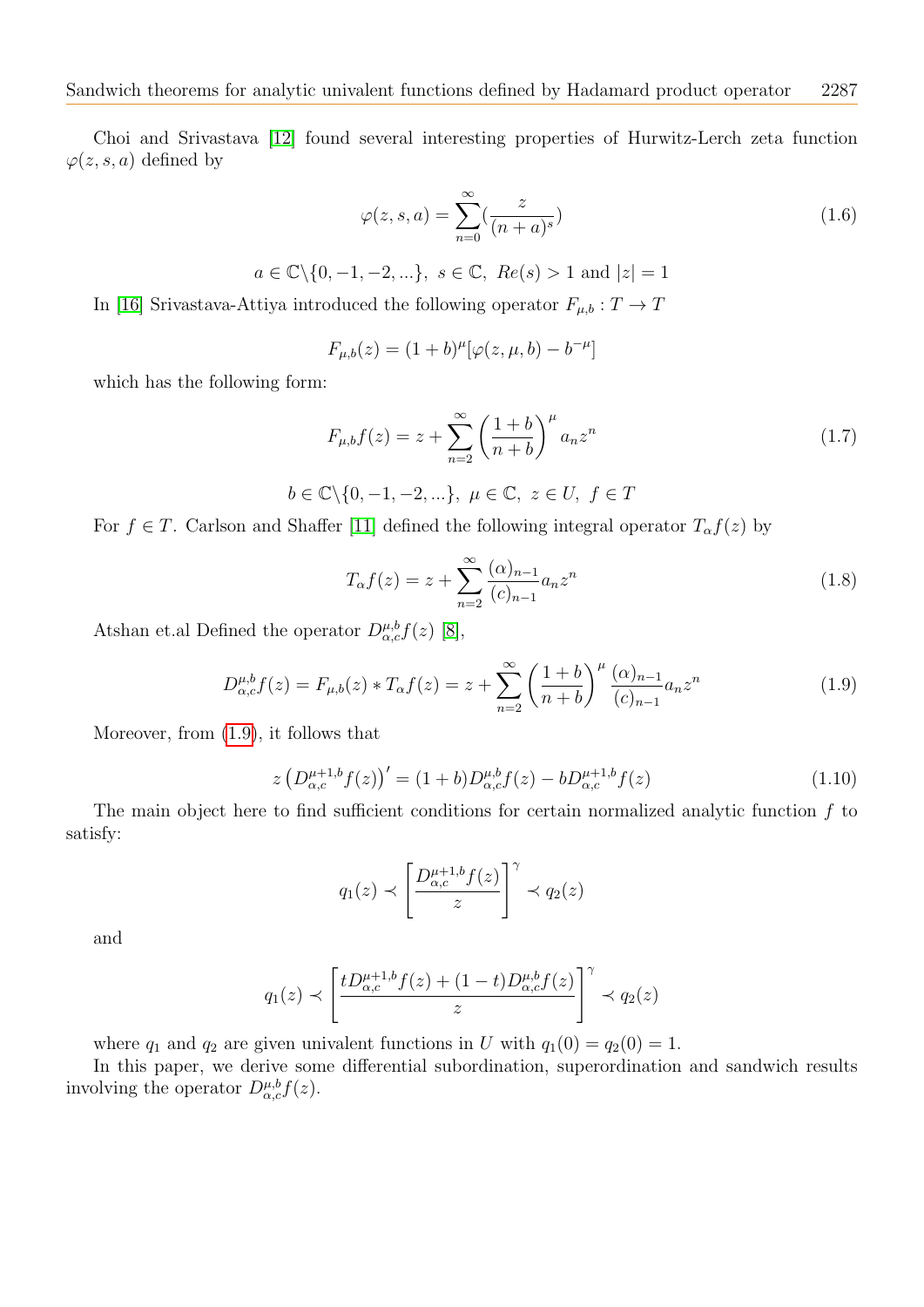Choi and Srivastava [\[12\]](#page-10-10) found several interesting properties of Hurwitz-Lerch zeta function  $\varphi(z, s, a)$  defined by

$$
\varphi(z,s,a) = \sum_{n=0}^{\infty} \left(\frac{z}{(n+a)^s}\right) \tag{1.6}
$$

 $a \in \mathbb{C} \backslash \{0, -1, -2, \ldots\}, s \in \mathbb{C}, Re(s) > 1$  and  $|z| = 1$ 

In [\[16\]](#page-11-2) Srivastava-Attiya introduced the following operator  $F_{\mu,b}: T \to T$ 

$$
F_{\mu,b}(z) = (1+b)^{\mu} [\varphi(z,\mu,b) - b^{-\mu}]
$$

which has the following form:

$$
F_{\mu,b}f(z) = z + \sum_{n=2}^{\infty} \left(\frac{1+b}{n+b}\right)^{\mu} a_n z^n
$$
 (1.7)

$$
b\in\mathbb{C}\backslash\{0,-1,-2,...\},~\mu\in\mathbb{C},~z\in U,~f\in T
$$

For  $f \in T$ . Carlson and Shaffer [\[11\]](#page-10-11) defined the following integral operator  $T_{\alpha}f(z)$  by

$$
T_{\alpha}f(z) = z + \sum_{n=2}^{\infty} \frac{(\alpha)_{n-1}}{(c)_{n-1}} a_n z^n
$$
\n(1.8)

Atshan et.al Defined the operator  $D_{\alpha,c}^{\mu,b}f(z)$  [\[8\]](#page-10-12),

<span id="page-2-0"></span>
$$
D_{\alpha,c}^{\mu,b}f(z) = F_{\mu,b}(z) * T_{\alpha}f(z) = z + \sum_{n=2}^{\infty} \left(\frac{1+b}{n+b}\right)^{\mu} \frac{(\alpha)_{n-1}}{(c)_{n-1}} a_n z^n \tag{1.9}
$$

Moreover, from [\(1.9\)](#page-2-0), it follows that

<span id="page-2-1"></span>
$$
z\left(D_{\alpha,c}^{\mu+1,b}f(z)\right)' = (1+b)D_{\alpha,c}^{\mu,b}f(z) - bD_{\alpha,c}^{\mu+1,b}f(z) \tag{1.10}
$$

The main object here to find sufficient conditions for certain normalized analytic function  $f$  to satisfy:

$$
q_1(z) \prec \left[\frac{D_{\alpha,c}^{\mu+1,b}f(z)}{z}\right]^\gamma \prec q_2(z)
$$

and

$$
q_1(z)\prec\left[\frac{tD^{\mu+1,b}_{\alpha,c}f(z)+(1-t)D^{\mu,b}_{\alpha,c}f(z)}{z}\right]^\gamma\prec q_2(z)
$$

where  $q_1$  and  $q_2$  are given univalent functions in U with  $q_1(0) = q_2(0) = 1$ .

In this paper, we derive some differential subordination, superordination and sandwich results involving the operator  $D_{\alpha,c}^{\mu,b}f(z)$ .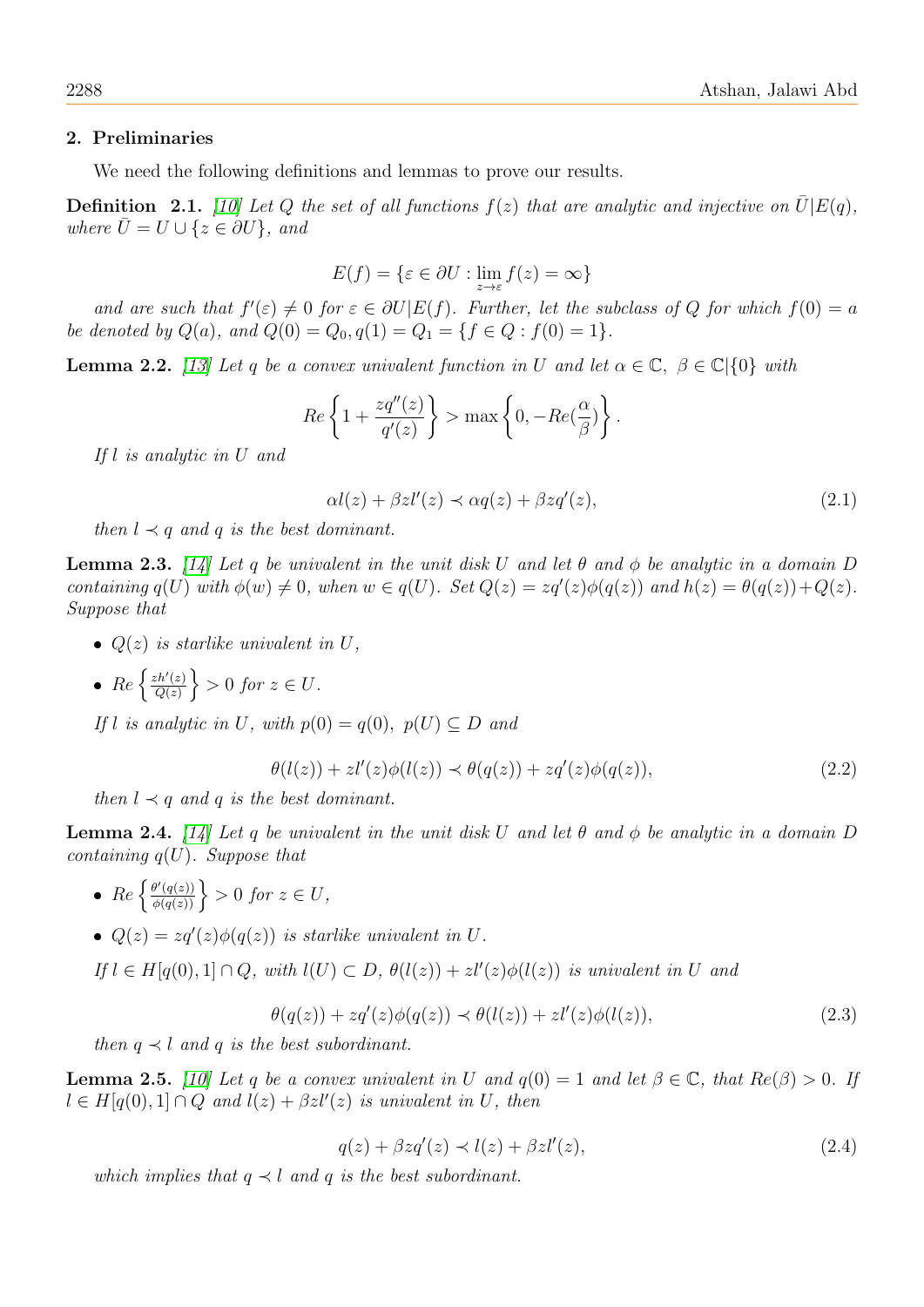#### 2. Preliminaries

We need the following definitions and lemmas to prove our results.

**Definition** 2.1. [\[10\]](#page-10-0) Let Q the set of all functions  $f(z)$  that are analytic and injective on  $\bar{U}[E(q)]$ , where  $\bar{U} = U \cup \{z \in \partial U\}$ , and

$$
E(f) = \{ \varepsilon \in \partial U : \lim_{z \to \varepsilon} f(z) = \infty \}
$$

and are such that  $f'(\varepsilon) \neq 0$  for  $\varepsilon \in \partial U \mid E(f)$ . Further, let the subclass of Q for which  $f(0) = a$ be denoted by  $Q(a)$ , and  $Q(0) = Q_0, q(1) = Q_1 = \{f \in Q : f(0) = 1\}.$ 

<span id="page-3-0"></span>**Lemma 2.2.** [\[13\]](#page-10-1) Let q be a convex univalent function in U and let  $\alpha \in \mathbb{C}$ ,  $\beta \in \mathbb{C}[\{0\}$  with

$$
Re\left\{1+\frac{zq''(z)}{q'(z)}\right\} > \max\left\{0, -Re(\frac{\alpha}{\beta})\right\}.
$$

If l is analytic in U and

$$
\alpha l(z) + \beta z l'(z) \prec \alpha q(z) + \beta z q'(z), \qquad (2.1)
$$

then  $l \prec q$  and q is the best dominant.

<span id="page-3-1"></span>**Lemma 2.3.** [\[14\]](#page-11-0) Let q be univalent in the unit disk U and let  $\theta$  and  $\phi$  be analytic in a domain D containing  $q(U)$  with  $\phi(w) \neq 0$ , when  $w \in q(U)$ . Set  $Q(z) = zq'(z)\phi(q(z))$  and  $h(z) = \theta(q(z)) + Q(z)$ . Suppose that

- $Q(z)$  is starlike univalent in U,
- $Re \left\{ \frac{zh'(z)}{O(z)} \right\}$  $\left\{\frac{ch'(z)}{Q(z)}\right\} > 0$  for  $z \in U$ .

If l is analytic in U, with  $p(0) = q(0)$ ,  $p(U) \subseteq D$  and

$$
\theta(l(z)) + z l'(z) \phi(l(z)) \prec \theta(q(z)) + z q'(z) \phi(q(z)), \qquad (2.2)
$$

then  $l \prec q$  and q is the best dominant.

<span id="page-3-3"></span>**Lemma 2.4.** [\[14\]](#page-11-0) Let q be univalent in the unit disk U and let  $\theta$  and  $\phi$  be analytic in a domain D containing  $q(U)$ . Suppose that

- $\{ \frac{\theta'(q(z))}{\phi(q(z))} \} > 0$  for  $z \in U$ ,
- $Q(z) = zq'(z)\phi(q(z))$  is starlike univalent in U.

If  $l \in H[q(0),1] \cap Q$ , with  $l(U) \subset D$ ,  $\theta(l(z)) + zl'(z)\phi(l(z))$  is univalent in U and

$$
\theta(q(z)) + zq'(z)\phi(q(z)) \prec \theta(l(z)) + zl'(z)\phi(l(z)),\tag{2.3}
$$

then  $q \prec l$  and q is the best subordinant.

<span id="page-3-2"></span>**Lemma 2.5.** [\[10\]](#page-10-0) Let q be a convex univalent in U and  $q(0) = 1$  and let  $\beta \in \mathbb{C}$ , that  $Re(\beta) > 0$ . If  $l \in H[q(0),1] \cap Q$  and  $l(z) + \beta z l'(z)$  is univalent in U, then

$$
q(z) + \beta z q'(z) \prec l(z) + \beta z l'(z), \tag{2.4}
$$

which implies that  $q \prec l$  and q is the best subordinant.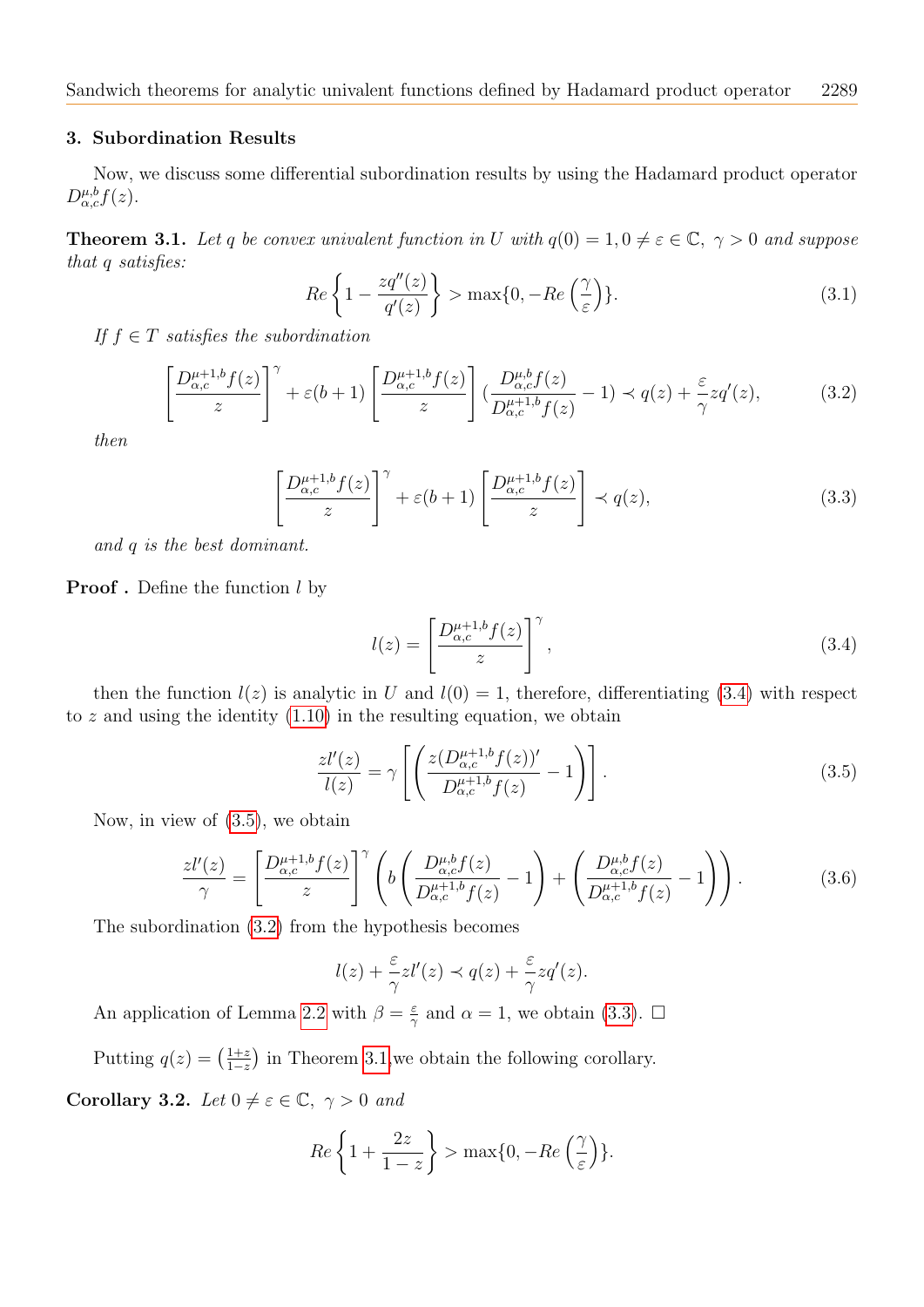#### 3. Subordination Results

Now, we discuss some differential subordination results by using the Hadamard product operator  $D_{\alpha,c}^{\mu,b}f(z).$ 

<span id="page-4-4"></span>**Theorem 3.1.** Let q be convex univalent function in U with  $q(0) = 1, 0 \neq \varepsilon \in \mathbb{C}, \gamma > 0$  and suppose that q satisfies:

$$
Re\left\{1 - \frac{zq''(z)}{q'(z)}\right\} > \max\{0, -Re\left(\frac{\gamma}{\varepsilon}\right)\}.
$$
\n(3.1)

If  $f \in T$  satisfies the subordination

<span id="page-4-2"></span>
$$
\left[\frac{D_{\alpha,c}^{\mu+1,b}f(z)}{z}\right]^\gamma + \varepsilon(b+1)\left[\frac{D_{\alpha,c}^{\mu+1,b}f(z)}{z}\right] \left(\frac{D_{\alpha,c}^{\mu,b}f(z)}{D_{\alpha,c}^{\mu+1,b}f(z)} - 1\right) \prec q(z) + \frac{\varepsilon}{\gamma}zq'(z),\tag{3.2}
$$

then

<span id="page-4-3"></span>
$$
\left[\frac{D_{\alpha,c}^{\mu+1,b}f(z)}{z}\right]^\gamma + \varepsilon(b+1)\left[\frac{D_{\alpha,c}^{\mu+1,b}f(z)}{z}\right] \prec q(z),\tag{3.3}
$$

and q is the best dominant.

# **Proof**. Define the function  $l$  by

<span id="page-4-0"></span>
$$
l(z) = \left[\frac{D_{\alpha,c}^{\mu+1,b}f(z)}{z}\right]^\gamma,\tag{3.4}
$$

then the function  $l(z)$  is analytic in U and  $l(0) = 1$ , therefore, differentiating [\(3.4\)](#page-4-0) with respect to  $z$  and using the identity  $(1.10)$  in the resulting equation, we obtain

<span id="page-4-1"></span>
$$
\frac{zl'(z)}{l(z)} = \gamma \left[ \left( \frac{z(D_{\alpha,c}^{\mu+1,b} f(z))'}{D_{\alpha,c}^{\mu+1,b} f(z)} - 1 \right) \right].
$$
\n(3.5)

Now, in view of [\(3.5\)](#page-4-1), we obtain

$$
\frac{zl'(z)}{\gamma} = \left[\frac{D_{\alpha,c}^{\mu+1,b}f(z)}{z}\right]^\gamma \left(b\left(\frac{D_{\alpha,c}^{\mu,b}f(z)}{D_{\alpha,c}^{\mu+1,b}f(z)} - 1\right) + \left(\frac{D_{\alpha,c}^{\mu,b}f(z)}{D_{\alpha,c}^{\mu+1,b}f(z)} - 1\right)\right). \tag{3.6}
$$

The subordination [\(3.2\)](#page-4-2) from the hypothesis becomes

$$
l(z) + \frac{\varepsilon}{\gamma} z l'(z) \prec q(z) + \frac{\varepsilon}{\gamma} z q'(z).
$$

An application of Lemma [2.2](#page-3-0) with  $\beta = \frac{\varepsilon}{2}$  $\frac{\varepsilon}{\gamma}$  and  $\alpha = 1$ , we obtain [\(3.3\)](#page-4-3).  $\Box$ 

Putting  $q(z) = \left(\frac{1+z}{1-z}\right)$  $\frac{1+z}{1-z}$  in Theorem [3.1,](#page-4-4) we obtain the following corollary.

Corollary 3.2. Let  $0 \neq \varepsilon \in \mathbb{C}, \gamma > 0$  and

$$
Re\left\{1+\frac{2z}{1-z}\right\} > \max\{0, -Re\left(\frac{\gamma}{\varepsilon}\right)\}.
$$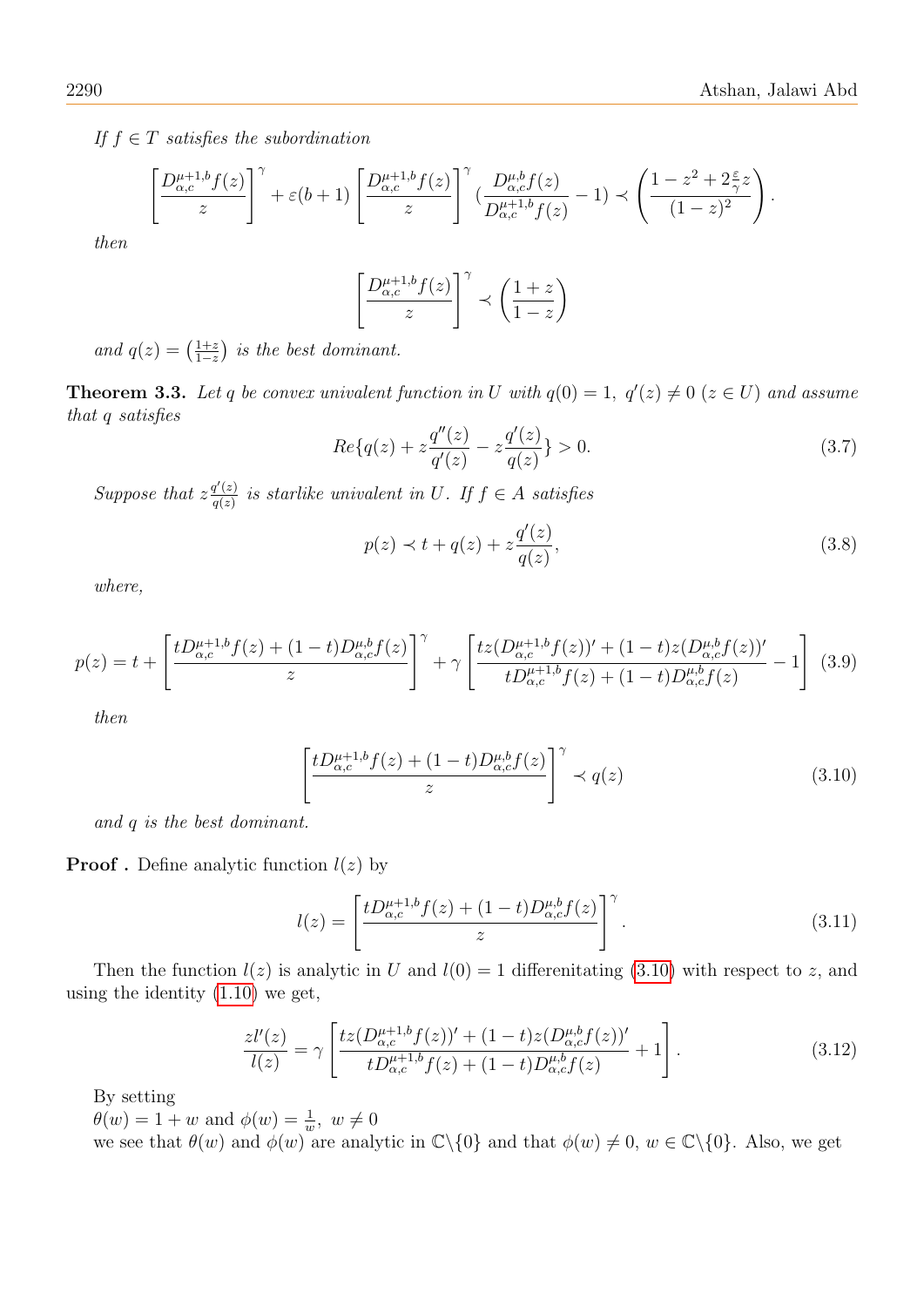If  $f \in T$  satisfies the subordination

$$
\left[\frac{D_{\alpha,c}^{\mu+1,b}f(z)}{z}\right]^\gamma + \varepsilon(b+1)\left[\frac{D_{\alpha,c}^{\mu+1,b}f(z)}{z}\right]^\gamma \left(\frac{D_{\alpha,c}^{\mu,b}f(z)}{D_{\alpha,c}^{\mu+1,b}f(z)} - 1\right) \prec \left(\frac{1-z^2 + 2\frac{\varepsilon}{\gamma}z}{(1-z)^2}\right).
$$

then

$$
\left[\frac{D^{\mu+1,b}_{\alpha,c}f(z)}{z}\right]^\gamma \prec \left(\frac{1+z}{1-z}\right)
$$

and  $q(z) = \left(\frac{1+z}{1-z}\right)$  $\frac{1+z}{1-z}$ ) is the best dominant.

<span id="page-5-2"></span>**Theorem 3.3.** Let q be convex univalent function in U with  $q(0) = 1$ ,  $q'(z) \neq 0$  ( $z \in U$ ) and assume that q satisfies

$$
Re\{q(z) + z\frac{q''(z)}{q'(z)} - z\frac{q'(z)}{q(z)}\} > 0.
$$
\n(3.7)

Suppose that  $z \frac{q'(z)}{q(z)}$  $\frac{q(z)}{q(z)}$  is starlike univalent in U. If  $f \in A$  satisfies

$$
p(z) \prec t + q(z) + z \frac{q'(z)}{q(z)},
$$
 (3.8)

where,

<span id="page-5-1"></span>
$$
p(z) = t + \left[ \frac{tD_{\alpha,c}^{\mu+1,b}f(z) + (1-t)D_{\alpha,c}^{\mu,b}f(z)}{z} \right]^\gamma + \gamma \left[ \frac{tz(D_{\alpha,c}^{\mu+1,b}f(z))' + (1-t)z(D_{\alpha,c}^{\mu,b}f(z))'}{tD_{\alpha,c}^{\mu+1,b}f(z) + (1-t)D_{\alpha,c}^{\mu,b}f(z)} - 1 \right] \tag{3.9}
$$

then

<span id="page-5-0"></span>
$$
\left[\frac{tD_{\alpha,c}^{\mu+1,b}f(z) + (1-t)D_{\alpha,c}^{\mu,b}f(z)}{z}\right]^\gamma \prec q(z)
$$
\n(3.10)

and q is the best dominant.

**Proof**. Define analytic function  $l(z)$  by

$$
l(z) = \left[\frac{tD_{\alpha,c}^{\mu+1,b}f(z) + (1-t)D_{\alpha,c}^{\mu,b}f(z)}{z}\right]^\gamma.
$$
 (3.11)

Then the function  $l(z)$  is analytic in U and  $l(0) = 1$  differenitating [\(3.10\)](#page-5-0) with respect to z, and using the identity [\(1.10\)](#page-2-1) we get,

$$
\frac{z l'(z)}{l(z)} = \gamma \left[ \frac{tz (D_{\alpha,c}^{\mu+1,b} f(z))' + (1-t)z (D_{\alpha,c}^{\mu,b} f(z))'}{t D_{\alpha,c}^{\mu+1,b} f(z) + (1-t) D_{\alpha,c}^{\mu,b} f(z)} + 1 \right].
$$
\n(3.12)

By setting

 $\theta(w) = 1 + w$  and  $\phi(w) = \frac{1}{w}$ ,  $w \neq 0$ 

we see that  $\theta(w)$  and  $\phi(w)$  are analytic in  $\mathbb{C}\backslash\{0\}$  and that  $\phi(w) \neq 0, w \in \mathbb{C}\backslash\{0\}$ . Also, we get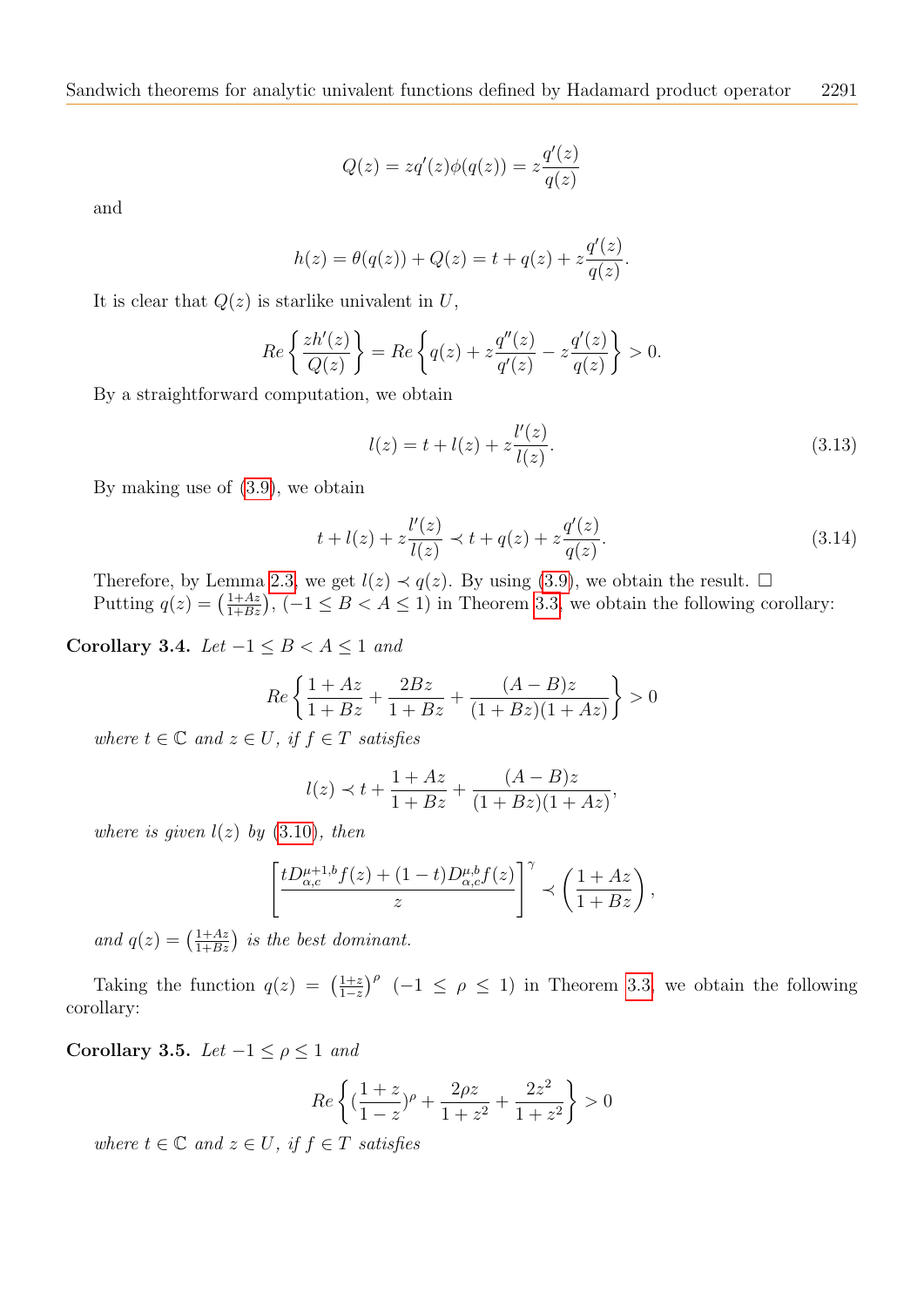$$
Q(z) = zq'(z)\phi(q(z)) = z\frac{q'(z)}{q(z)}
$$

and

$$
h(z) = \theta(q(z)) + Q(z) = t + q(z) + z \frac{q'(z)}{q(z)}.
$$

It is clear that  $Q(z)$  is starlike univalent in U,

$$
Re\left\{\frac{zh'(z)}{Q(z)}\right\} = Re\left\{q(z) + z\frac{q''(z)}{q'(z)} - z\frac{q'(z)}{q(z)}\right\} > 0.
$$

By a straightforward computation, we obtain

$$
l(z) = t + l(z) + z \frac{l'(z)}{l(z)}.
$$
\n(3.13)

By making use of [\(3.9\)](#page-5-1), we obtain

$$
t + l(z) + z \frac{l'(z)}{l(z)} \prec t + q(z) + z \frac{q'(z)}{q(z)}.
$$
\n(3.14)

Therefore, by Lemma [2.3,](#page-3-1) we get  $l(z) \prec q(z)$ . By using [\(3.9\)](#page-5-1), we obtain the result.  $\Box$ Putting  $q(z) = \left(\frac{1+Az}{1+Bz}\right)$ ,  $(-1 \leq B < A \leq 1)$  in Theorem [3.3,](#page-5-2) we obtain the following corollary:

Corollary 3.4. Let  $-1 \leq B < A \leq 1$  and

$$
Re\left\{\frac{1+Az}{1+Bz} + \frac{2Bz}{1+Bz} + \frac{(A-B)z}{(1+Bz)(1+Az)}\right\} > 0
$$

where  $t \in \mathbb{C}$  and  $z \in U$ , if  $f \in T$  satisfies

$$
l(z) \prec t + \frac{1 + Az}{1 + Bz} + \frac{(A - B)z}{(1 + Bz)(1 + Az)},
$$

where is given  $l(z)$  by  $(3.10)$ , then

$$
\left[\frac{tD^{\mu+1,b}_{\alpha,c}f(z)+(1-t)D^{\mu,b}_{\alpha,c}f(z)}{z}\right]^\gamma \prec \left(\frac{1+Az}{1+Bz}\right),
$$

and  $q(z) = \left(\frac{1+Az}{1+Bz}\right)$  is the best dominant.

Taking the function  $q(z) = \left(\frac{1+z}{1-z}\right)$  $\frac{1+z}{1-z}$ <sup> $\rho$ </sup> (-1  $\leq \rho \leq 1$ ) in Theorem [3.3,](#page-5-2) we obtain the following corollary:

Corollary 3.5. Let  $-1 \leq \rho \leq 1$  and

$$
Re\left\{ \left( \frac{1+z}{1-z} \right)^{\rho} + \frac{2\rho z}{1+z^2} + \frac{2z^2}{1+z^2} \right\} > 0
$$

where  $t \in \mathbb{C}$  and  $z \in U$ , if  $f \in T$  satisfies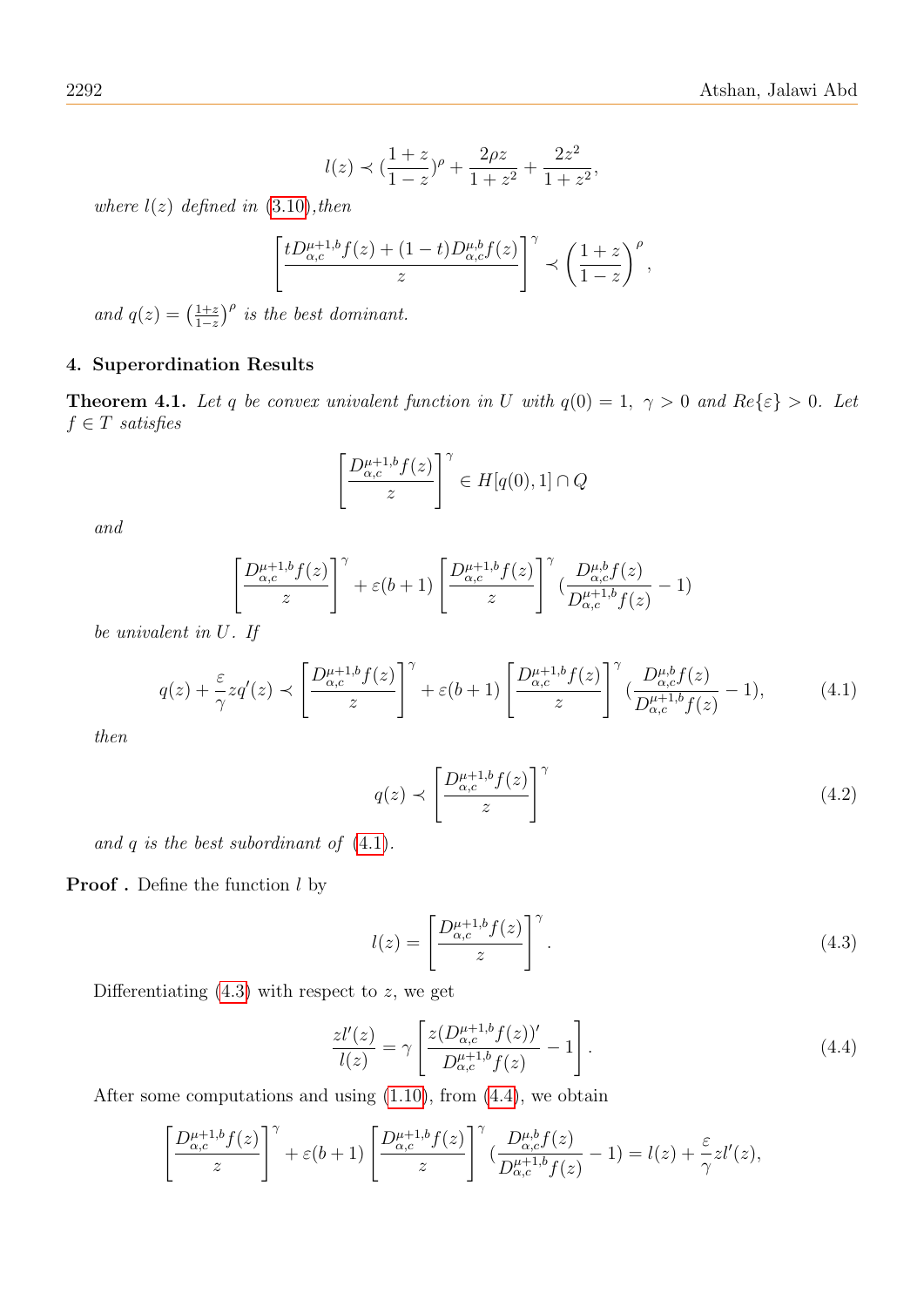$$
l(z) \prec (\frac{1+z}{1-z})^{\rho} + \frac{2\rho z}{1+z^2} + \frac{2z^2}{1+z^2},
$$

where  $l(z)$  defined in  $(3.10)$ , then

$$
\left[\frac{tD_{\alpha,c}^{\mu+1,b}f(z)+(1-t)D_{\alpha,c}^{\mu,b}f(z)}{z}\right]^\gamma \prec \left(\frac{1+z}{1-z}\right)^\rho,
$$

and  $q(z) = \left(\frac{1+z}{1-z}\right)$  $\frac{1+z}{1-z}$ <sup> $\rho$ </sup> is the best dominant.

## 4. Superordination Results

<span id="page-7-3"></span>**Theorem 4.1.** Let q be convex univalent function in U with  $q(0) = 1$ ,  $\gamma > 0$  and  $Re\{\epsilon\} > 0$ . Let  $f \in T$  satisfies

$$
\left[\frac{D_{\alpha,c}^{\mu+1,b}f(z)}{z}\right]^\gamma \in H[q(0),1] \cap Q
$$

and

$$
\left[\frac{D_{\alpha,c}^{\mu+1,b}f(z)}{z}\right]^\gamma + \varepsilon(b+1)\left[\frac{D_{\alpha,c}^{\mu+1,b}f(z)}{z}\right]^\gamma \left(\frac{D_{\alpha,c}^{\mu,b}f(z)}{D_{\alpha,c}^{\mu+1,b}f(z)} - 1\right)
$$

be univalent in U. If

<span id="page-7-0"></span>
$$
q(z) + \frac{\varepsilon}{\gamma} z q'(z) \prec \left[ \frac{D_{\alpha,c}^{\mu+1,b} f(z)}{z} \right]^\gamma + \varepsilon (b+1) \left[ \frac{D_{\alpha,c}^{\mu+1,b} f(z)}{z} \right]^\gamma \left( \frac{D_{\alpha,c}^{\mu,b} f(z)}{D_{\alpha,c}^{\mu+1,b} f(z)} - 1 \right),\tag{4.1}
$$

then

$$
q(z) \prec \left[\frac{D_{\alpha,c}^{\mu+1,b}f(z)}{z}\right]^\gamma \tag{4.2}
$$

and  $q$  is the best subordinant of  $(4.1)$ .

# **Proof**. Define the function  $l$  by

<span id="page-7-1"></span>
$$
l(z) = \left[\frac{D_{\alpha,c}^{\mu+1,b}f(z)}{z}\right]^\gamma.
$$
\n(4.3)

Differentiating  $(4.3)$  with respect to z, we get

<span id="page-7-2"></span>
$$
\frac{z l'(z)}{l(z)} = \gamma \left[ \frac{z (D_{\alpha,c}^{\mu+1,b} f(z))'}{D_{\alpha,c}^{\mu+1,b} f(z)} - 1 \right].
$$
\n(4.4)

After some computations and using [\(1.10\)](#page-2-1), from [\(4.4\)](#page-7-2), we obtain

$$
\left[\frac{D_{\alpha,c}^{\mu+1,b}f(z)}{z}\right]^\gamma + \varepsilon(b+1)\left[\frac{D_{\alpha,c}^{\mu+1,b}f(z)}{z}\right]^\gamma \left(\frac{D_{\alpha,c}^{\mu,b}f(z)}{D_{\alpha,c}^{\mu+1,b}f(z)} - 1\right) = l(z) + \frac{\varepsilon}{\gamma}zl'(z),
$$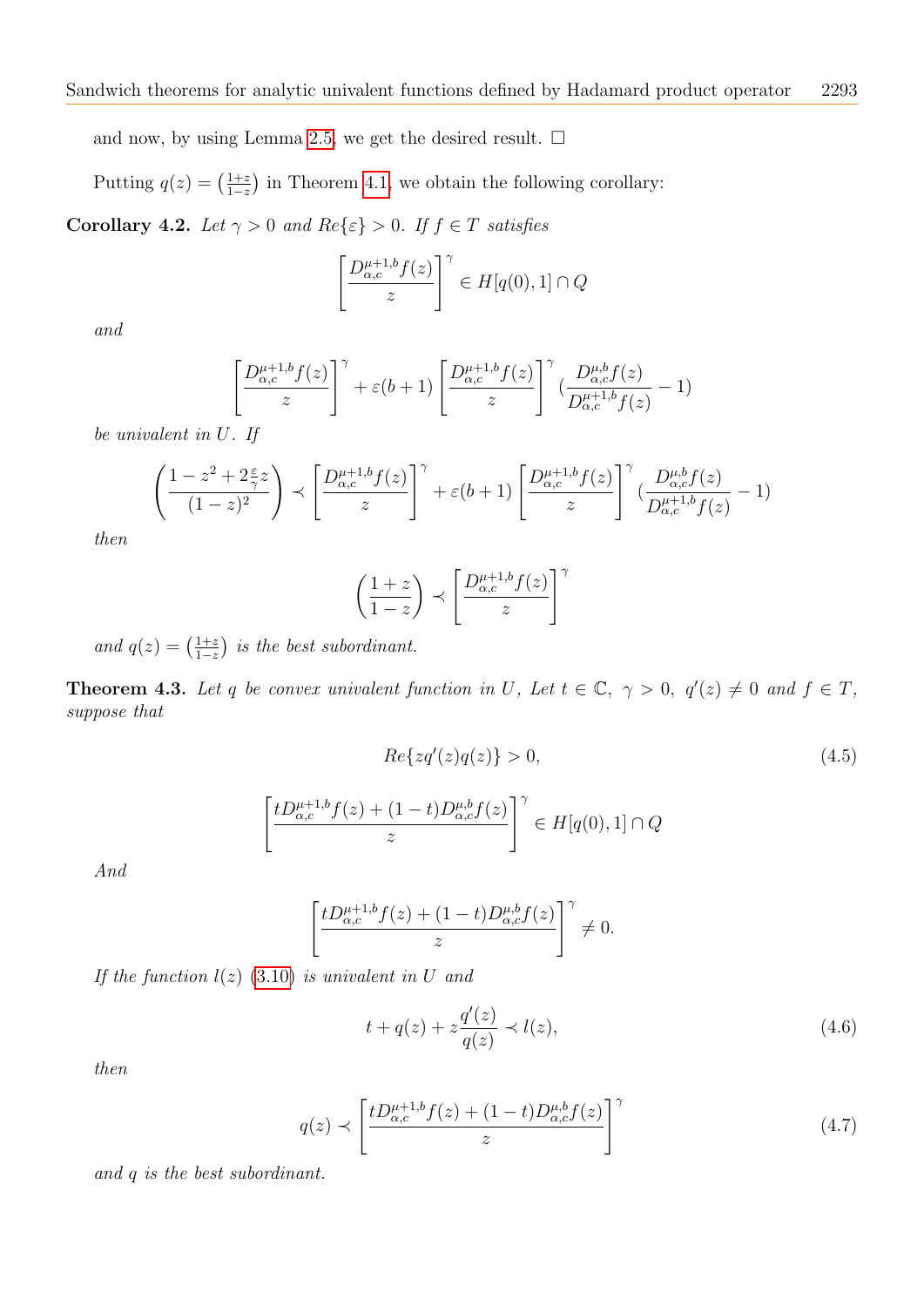and now, by using Lemma [2.5,](#page-3-2) we get the desired result.  $\square$ 

Putting  $q(z) = \left(\frac{1+z}{1-z}\right)$  $\frac{1+z}{1-z}$  in Theorem [4.1,](#page-7-3) we obtain the following corollary:

Corollary 4.2. Let  $\gamma > 0$  and  $Re\{\varepsilon\} > 0$ . If  $f \in T$  satisfies

$$
\left[\frac{D_{\alpha,c}^{\mu+1,b}f(z)}{z}\right]^\gamma \in H[q(0),1] \cap Q
$$

and

$$
\left[\frac{D_{\alpha,c}^{\mu+1,b}f(z)}{z}\right]^\gamma + \varepsilon(b+1)\left[\frac{D_{\alpha,c}^{\mu+1,b}f(z)}{z}\right]^\gamma \left(\frac{D_{\alpha,c}^{\mu,b}f(z)}{D_{\alpha,c}^{\mu+1,b}f(z)} - 1\right)
$$

be univalent in U. If

$$
\left(\frac{1-z^2+2\frac{\varepsilon}{\gamma}z}{(1-z)^2}\right) \prec \left[\frac{D_{\alpha,c}^{\mu+1,b}f(z)}{z}\right]^\gamma + \varepsilon(b+1)\left[\frac{D_{\alpha,c}^{\mu+1,b}f(z)}{z}\right]^\gamma \left(\frac{D_{\alpha,c}^{\mu,b}f(z)}{D_{\alpha,c}^{\mu+1,b}f(z)} - 1\right)
$$

then

$$
\left(\frac{1+z}{1-z}\right) \prec \left[\frac{D_{\alpha,c}^{\mu+1,b}f(z)}{z}\right]^\gamma
$$

and  $q(z) = \left(\frac{1+z}{1-z}\right)$  $\frac{1+z}{1-z}$ ) is the best subordinant.

**Theorem 4.3.** Let q be convex univalent function in U, Let  $t \in \mathbb{C}$ ,  $\gamma > 0$ ,  $q'(z) \neq 0$  and  $f \in T$ , suppose that

$$
Re\{zq'(z)q(z)\} > 0,\t\t(4.5)
$$

$$
\left[\frac{tD_{\alpha,c}^{\mu+1,b}f(z)+(1-t)D_{\alpha,c}^{\mu,b}f(z)}{z}\right]^\gamma \in H[q(0),1] \cap Q
$$

And

$$
\left[\frac{tD_{\alpha,c}^{\mu+1,b}f(z)+(1-t)D_{\alpha,c}^{\mu,b}f(z)}{z}\right]^\gamma \neq 0.
$$

If the function  $l(z)$  [\(3.10\)](#page-5-0) is univalent in U and

<span id="page-8-1"></span>
$$
t + q(z) + z \frac{q'(z)}{q(z)} \prec l(z), \tag{4.6}
$$

then

<span id="page-8-0"></span>
$$
q(z) \prec \left[\frac{tD_{\alpha,c}^{\mu+1,b}f(z) + (1-t)D_{\alpha,c}^{\mu,b}f(z)}{z}\right]^{\gamma}
$$
(4.7)

and q is the best subordinant.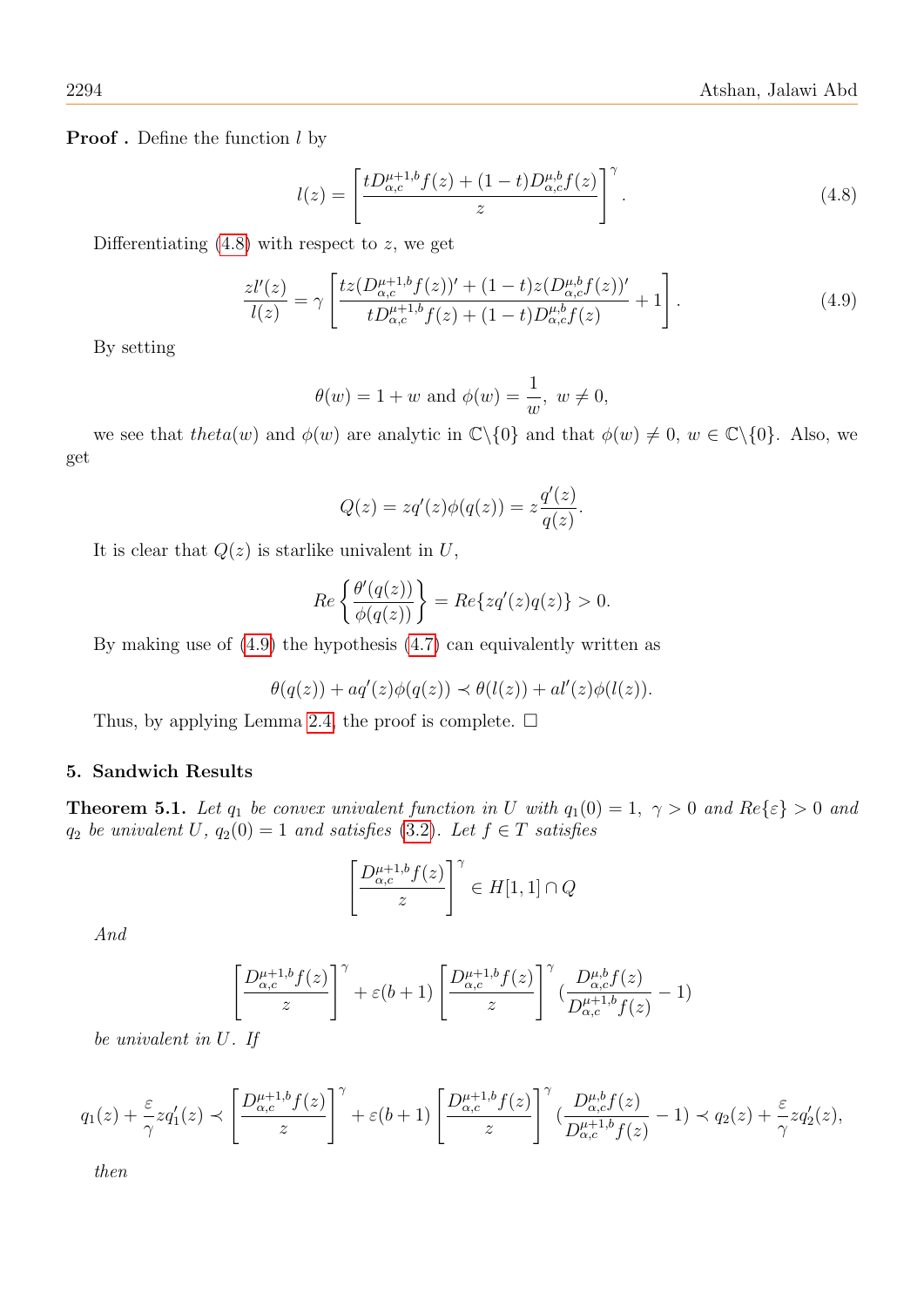**Proof** . Define the function  $l$  by

<span id="page-9-0"></span>
$$
l(z) = \left[\frac{tD_{\alpha,c}^{\mu+1,b}f(z) + (1-t)D_{\alpha,c}^{\mu,b}f(z)}{z}\right]^\gamma.
$$
 (4.8)

Differentiating  $(4.8)$  with respect to z, we get

<span id="page-9-1"></span>
$$
\frac{z l'(z)}{l(z)} = \gamma \left[ \frac{t z (D_{\alpha,c}^{\mu+1,b} f(z))' + (1-t) z (D_{\alpha,c}^{\mu,b} f(z))'}{t D_{\alpha,c}^{\mu+1,b} f(z) + (1-t) D_{\alpha,c}^{\mu,b} f(z)} + 1 \right].
$$
\n(4.9)

By setting

$$
\theta(w) = 1 + w \text{ and } \phi(w) = \frac{1}{w}, \ w \neq 0,
$$

we see that theta(w) and  $\phi(w)$  are analytic in  $\mathbb{C}\backslash\{0\}$  and that  $\phi(w) \neq 0$ ,  $w \in \mathbb{C}\backslash\{0\}$ . Also, we get

$$
Q(z) = zq'(z)\phi(q(z)) = z\frac{q'(z)}{q(z)}.
$$

It is clear that  $Q(z)$  is starlike univalent in U,

$$
Re\left\{\frac{\theta'(q(z))}{\phi(q(z))}\right\} = Re\{zq'(z)q(z)\} > 0.
$$

By making use of [\(4.9\)](#page-9-1) the hypothesis [\(4.7\)](#page-8-0) can equivalently written as

$$
\theta(q(z)) + aq'(z)\phi(q(z)) \prec \theta(l(z)) + al'(z)\phi(l(z)).
$$

Thus, by applying Lemma [2.4,](#page-3-3) the proof is complete.  $\square$ 

# 5. Sandwich Results

**Theorem 5.1.** Let  $q_1$  be convex univalent function in U with  $q_1(0) = 1$ ,  $\gamma > 0$  and  $Re\{\epsilon\} > 0$  and  $q_2$  be univalent U,  $q_2(0) = 1$  and satisfies [\(3.2\)](#page-4-2). Let  $f \in T$  satisfies

$$
\left[\frac{D_{\alpha,c}^{\mu+1,b}f(z)}{z}\right]^\gamma \in H[1,1] \cap Q
$$

And

$$
\left[\frac{D_{\alpha,c}^{\mu+1,b}f(z)}{z}\right]^\gamma + \varepsilon(b+1)\left[\frac{D_{\alpha,c}^{\mu+1,b}f(z)}{z}\right]^\gamma \left(\frac{D_{\alpha,c}^{\mu,b}f(z)}{D_{\alpha,c}^{\mu+1,b}f(z)} - 1\right)
$$

be univalent in U. If

$$
q_1(z) + \frac{\varepsilon}{\gamma} z q_1'(z) \prec \left[ \frac{D_{\alpha,c}^{\mu+1,b} f(z)}{z} \right]^\gamma + \varepsilon (b+1) \left[ \frac{D_{\alpha,c}^{\mu+1,b} f(z)}{z} \right]^\gamma \left( \frac{D_{\alpha,c}^{\mu,b} f(z)}{D_{\alpha,c}^{\mu+1,b} f(z)} - 1 \right) \prec q_2(z) + \frac{\varepsilon}{\gamma} z q_2'(z),
$$

then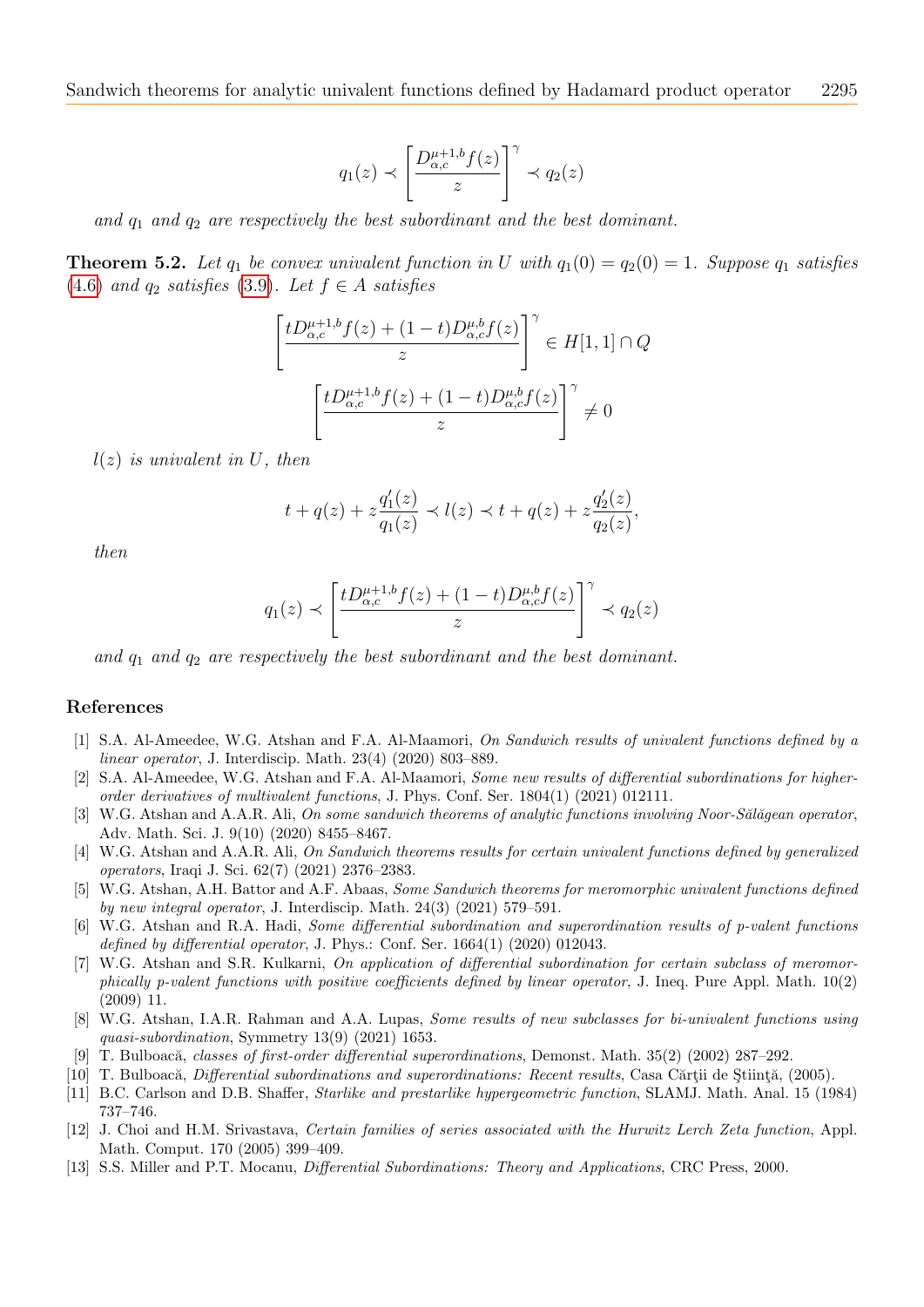$$
q_1(z) \prec \left[\frac{D_{\alpha,c}^{\mu+1,b}f(z)}{z}\right]^\gamma \prec q_2(z)
$$

and  $q_1$  and  $q_2$  are respectively the best subordinant and the best dominant.

**Theorem 5.2.** Let  $q_1$  be convex univalent function in U with  $q_1(0) = q_2(0) = 1$ . Suppose  $q_1$  satisfies [\(4.6\)](#page-8-1) and  $q_2$  satisfies [\(3.9\)](#page-5-1). Let  $f \in A$  satisfies

$$
\left[\frac{tD_{\alpha,c}^{\mu+1,b}f(z) + (1-t)D_{\alpha,c}^{\mu,b}f(z)}{z}\right]^\gamma \in H[1,1] \cap Q
$$

$$
\left[\frac{tD_{\alpha,c}^{\mu+1,b}f(z) + (1-t)D_{\alpha,c}^{\mu,b}f(z)}{z}\right]^\gamma \neq 0
$$

 $l(z)$  is univalent in U, then

$$
t + q(z) + z \frac{q'_1(z)}{q_1(z)} \prec l(z) \prec t + q(z) + z \frac{q'_2(z)}{q_2(z)},
$$

then

$$
q_1(z) \prec \left[ \frac{tD_{\alpha,c}^{\mu+1,b}f(z) + (1-t)D_{\alpha,c}^{\mu,b}f(z)}{z} \right]^\gamma \prec q_2(z)
$$

and  $q_1$  and  $q_2$  are respectively the best subordinant and the best dominant.

#### References

- <span id="page-10-2"></span>[1] S.A. Al-Ameedee, W.G. Atshan and F.A. Al-Maamori, On Sandwich results of univalent functions defined by a linear operator, J. Interdiscip. Math. 23(4) (2020) 803–889.
- <span id="page-10-3"></span>[2] S.A. Al-Ameedee, W.G. Atshan and F.A. Al-Maamori, Some new results of differential subordinations for higherorder derivatives of multivalent functions, J. Phys. Conf. Ser. 1804(1) (2021) 012111.
- <span id="page-10-5"></span>[3] W.G. Atshan and A.A.R. Ali, On some sandwich theorems of analytic functions involving Noor-Sălăgean operator, Adv. Math. Sci. J. 9(10) (2020) 8455–8467.
- <span id="page-10-6"></span>[4] W.G. Atshan and A.A.R. Ali, On Sandwich theorems results for certain univalent functions defined by generalized operators, Iraqi J. Sci. 62(7) (2021) 2376–2383.
- <span id="page-10-8"></span>[5] W.G. Atshan, A.H. Battor and A.F. Abaas, Some Sandwich theorems for meromorphic univalent functions defined by new integral operator, J. Interdiscip. Math. 24(3) (2021) 579–591.
- <span id="page-10-9"></span>[6] W.G. Atshan and R.A. Hadi, Some differential subordination and superordination results of p-valent functions defined by differential operator, J. Phys.: Conf. Ser.  $1664(1)$  (2020) 012043.
- <span id="page-10-4"></span>[7] W.G. Atshan and S.R. Kulkarni, On application of differential subordination for certain subclass of meromorphically p-valent functions with positive coefficients defined by linear operator, J. Ineq. Pure Appl. Math.  $10(2)$ (2009) 11.
- <span id="page-10-12"></span>[8] W.G. Atshan, I.A.R. Rahman and A.A. Lupas, Some results of new subclasses for bi-univalent functions using quasi-subordination, Symmetry 13(9) (2021) 1653.
- <span id="page-10-7"></span>[9] T. Bulboac˘a, classes of first-order differential superordinations, Demonst. Math. 35(2) (2002) 287–292.
- <span id="page-10-0"></span>[10] T. Bulboacă, *Differential subordinations and superordinations: Recent results*, Casa Cărții de Știință, (2005).
- <span id="page-10-11"></span>[11] B.C. Carlson and D.B. Shaffer, Starlike and prestarlike hypergeometric function, SLAMJ. Math. Anal. 15 (1984) 737–746.
- <span id="page-10-10"></span>[12] J. Choi and H.M. Srivastava, Certain families of series associated with the Hurwitz Lerch Zeta function, Appl. Math. Comput. 170 (2005) 399–409.
- <span id="page-10-1"></span>[13] S.S. Miller and P.T. Mocanu, Differential Subordinations: Theory and Applications, CRC Press, 2000.